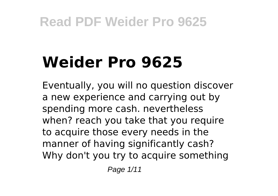## **Weider Pro 9625**

Eventually, you will no question discover a new experience and carrying out by spending more cash. nevertheless when? reach you take that you require to acquire those every needs in the manner of having significantly cash? Why don't you try to acquire something

Page 1/11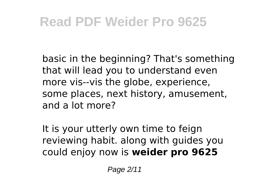basic in the beginning? That's something that will lead you to understand even more vis--vis the globe, experience, some places, next history, amusement, and a lot more?

It is your utterly own time to feign reviewing habit. along with guides you could enjoy now is **weider pro 9625**

Page 2/11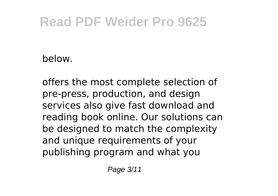below.

offers the most complete selection of pre-press, production, and design services also give fast download and reading book online. Our solutions can be designed to match the complexity and unique requirements of your publishing program and what you

Page 3/11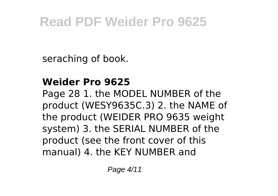seraching of book.

#### **Weider Pro 9625**

Page 28 1. the MODEL NUMBER of the product (WESY9635C.3) 2. the NAME of the product (WEIDER PRO 9635 weight system) 3. the SERIAL NUMBER of the product (see the front cover of this manual) 4. the KEY NUMBER and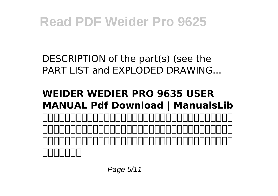DESCRIPTION of the part(s) (see the PART LIST and EXPLODED DRAWING...

#### **WEIDER WEDIER PRO 9635 USER MANUAL Pdf Download | ManualsLib** こちらは株式会社フォーカスが運営する家電・住設・カメラ商材を販売する 法人様専用通販サイトです。テレビ・エアコン・冷蔵庫・洗濯機等の家電製 品や住宅設備とフィルム・アルバム・ペーパー等のカメラ商材を多数取り扱 <u>ocional al</u>

Page 5/11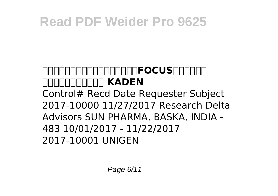#### **家電・住設・カメラ商材通販サイト|FOCUS|フォーカス** *<u>ADDROMINIA KADEN</u>* Control# Recd Date Requester Subject 2017-10000 11/27/2017 Research Delta Advisors SUN PHARMA, BASKA, INDIA -

483 10/01/2017 - 11/22/2017 2017-10001 UNIGEN

Page 6/11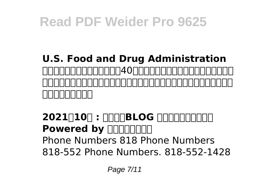#### **U.S. Food and Drug Administration** 元客室乗務員で主婦のあたし。40歳を超え、恥ずかしいなんて感覚を失っ <u>ころについついつについつにしていっしいしつにしいしつにしていっ</u> . . . . . . . . . .

#### **2021** | **100 : חחורות BLOG החחורות Powered by FLIPS** Phone Numbers 818 Phone Numbers 818-552 Phone Numbers. 818-552-1428

Page 7/11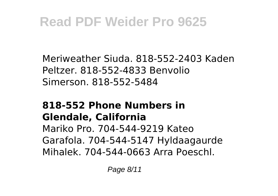Meriweather Siuda. 818-552-2403 Kaden Peltzer. 818-552-4833 Benvolio Simerson. 818-552-5484

#### **818-552 Phone Numbers in Glendale, California**

Mariko Pro. 704-544-9219 Kateo Garafola. 704-544-5147 Hyldaagaurde Mihalek. 704-544-0663 Arra Poeschl.

Page 8/11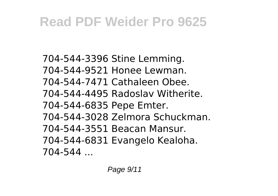704-544-3396 Stine Lemming. 704-544-9521 Honee Lewman. 704-544-7471 Cathaleen Obee. 704-544-4495 Radoslav Witherite. 704-544-6835 Pepe Emter. 704-544-3028 Zelmora Schuckman. 704-544-3551 Beacan Mansur. 704-544-6831 Evangelo Kealoha. 704-544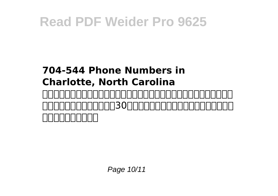#### **704-544 Phone Numbers in Charlotte, North Carolina** 网易是中国领先的互联网技术公司,为用户提供免费邮箱、游戏、搜索引擎服 务,开设新闻、娱乐、体育等30多个内容频道,及博客、视频、论坛等互动

# ,同力的力量,同力

Page 10/11